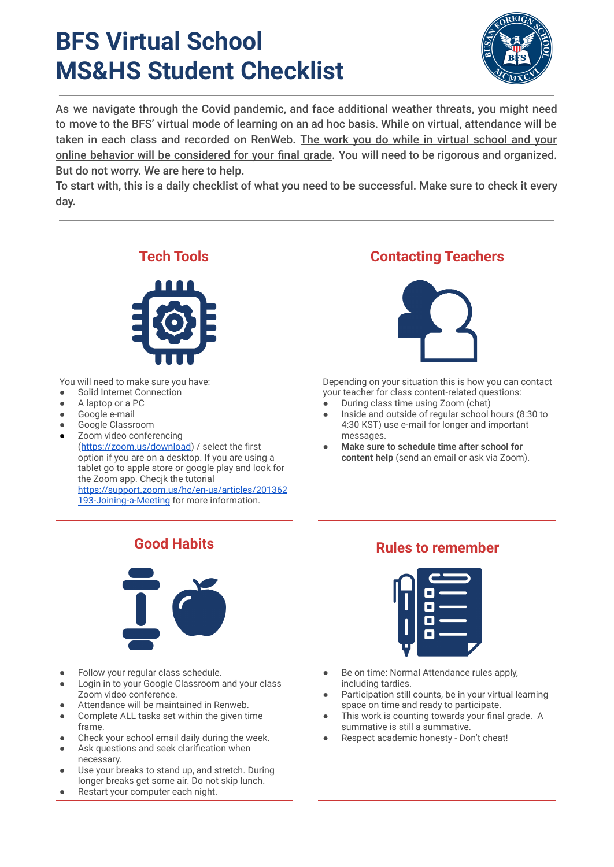# **BFS Virtual School MS&HS Student Checklist**



As we navigate through the Covid pandemic, and face additional weather threats, you might need to move to the BFS' virtual mode of learning on an ad hoc basis. While on virtual, attendance will be taken in each class and recorded on RenWeb. The work you do while in virtual school and your online behavior will be considered for your final grade. You will need to be rigorous and organized. But do not worry. We are here to help.

To start with, this is a daily checklist of what you need to be successful. Make sure to check it every day.



You will need to make sure you have:

- Solid Internet Connection
- A laptop or a PC
- Google e-mail
- Google Classroom
- Zoom video conferencing

(<https://zoom.us/download>) / select the first option if you are on a desktop. If you are using a tablet go to apple store or google play and look for the Zoom app. Checjk the tutorial [https://support.zoom.us/hc/en-us/articles/201362](https://support.zoom.us/hc/en-us/articles/201362193-Joining-a-Meeting)

[193-Joining-a-Meeting](https://support.zoom.us/hc/en-us/articles/201362193-Joining-a-Meeting) for more information.

### **Tech Tools Contacting Teachers**



Depending on your situation this is how you can contact your teacher for class content-related questions:

- During class time using Zoom (chat)
- Inside and outside of regular school hours (8:30 to 4:30 KST) use e-mail for longer and important messages.
- **Make sure to schedule time after school for content help** (send an email or ask via Zoom).



- Follow your regular class schedule.
- Login in to your Google Classroom and your class Zoom video conference.
- Attendance will be maintained in Renweb.
- Complete ALL tasks set within the given time frame.
- Check your school email daily during the week.
- Ask questions and seek clarification when necessary.
- Use your breaks to stand up, and stretch. During longer breaks get some air. Do not skip lunch.
- Restart your computer each night.

## **Good Habits Rules to remember**



- Be on time: Normal Attendance rules apply, including tardies.
- Participation still counts, be in your virtual learning space on time and ready to participate.
- This work is counting towards your final grade. A summative is still a summative.
- Respect academic honesty Don't cheat!